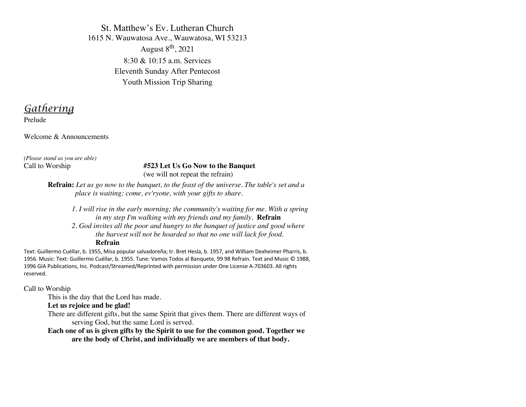St. Matthew's Ev. Lutheran Church 1615 N. Wauwatosa Ave., Wauwatosa, WI 53213 August  $8<sup>th</sup>$ , 2021 8:30 & 10:15 a.m. Services Eleventh Sunday After Pentecost Youth Mission Trip Sharing

*Gathering*

Prelude

Welcome & Announcements

*(Please stand as you are able)*

#### Call to Worship **#523 Let Us Go Now to the Banquet**  (we will not repeat the refrain)

**Refrain:** *Let us go now to the banquet, to the feast of the universe. The table's set and a*  *place is waiting; come, ev'ryone, with your gifts to share.*

*1. I will rise in the early morning; the community's waiting for me. With a spring in my step I'm walking with my friends and my family.* **Refrain** *2. God invites all the poor and hungry to the banquet of justice and good where the harvest will not be hoarded so that no one will lack for food.*  **Refrain**

Text: Guillermo Cuéllar, b. 1955, Misa popular salvadoreña; tr. Bret Hesla, b. 1957, and William Dexheimer Pharris, b. 1956. Music: Text: Guillermo Cuéllar, b. 1955. Tune: Vamos Todos al Banquete, 99 98 Refrain. Text and Music © 1988, 1996 GIA Publications, Inc. Podcast/Streamed/Reprinted with permission under One License A-703603. All rights reserved.

Call to Worship

This is the day that the Lord has made.

#### **Let us rejoice and be glad!**

There are different gifts, but the same Spirit that gives them. There are different ways of serving God, but the same Lord is served.

**Each one of us is given gifts by the Spirit to use for the common good. Together we are the body of Christ, and individually we are members of that body.**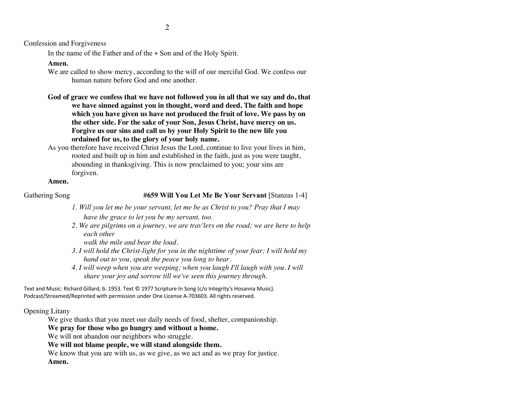Confession and Forgiveness

In the name of the Father and of the + Son and of the Holy Spirit.

# **Amen.**

We are called to show mercy, according to the will of our merciful God. We confess our human nature before God and one another.

**God of grace we confess that we have not followed you in all that we say and do, that we have sinned against you in thought, word and deed. The faith and hope which you have given us have not produced the fruit of love. We pass by on the other side. For the sake of your Son, Jesus Christ, have mercy on us. Forgive us our sins and call us by your Holy Spirit to the new life you ordained for us, to the glory of your holy name.**

As you therefore have received Christ Jesus the Lord, continue to live your lives in him, rooted and built up in him and established in the faith, just as you were taught, abounding in thanksgiving. This is now proclaimed to you; your sins are forgiven.

# **Amen.**

# Gathering Song **1988 #659 Will You Let Me Be Your Servant** [Stanzas 1-4]

- *1. Will you let me be your servant, let me be as Christ to you? Pray that I may have the grace to let you be my servant, too.*
- *2. We are pilgrims on a journey, we are trav'lers on the road; we are here to help each other*

*walk the mile and bear the load.*

- *3. I will hold the Christ-light for you in the nighttime of your fear; I will hold my hand out to you, speak the peace you long to hear.*
- *4. I will weep when you are weeping; when you laugh I'll laugh with you. I will share your joy and sorrow till we've seen this journey through.*

Text and Music: Richard Gillard, b. 1953. Text © 1977 Scripture In Song (c/o Integrity's Hosanna Music). Podcast/Streamed/Reprinted with permission under One License A-703603. All rights reserved.

# Opening Litany

We give thanks that you meet our daily needs of food, shelter, companionship.

# **We pray for those who go hungry and without a home.**

We will not abandon our neighbors who struggle.

**We will not blame people, we will stand alongside them.**

We know that you are with us, as we give, as we act and as we pray for justice. **Amen.**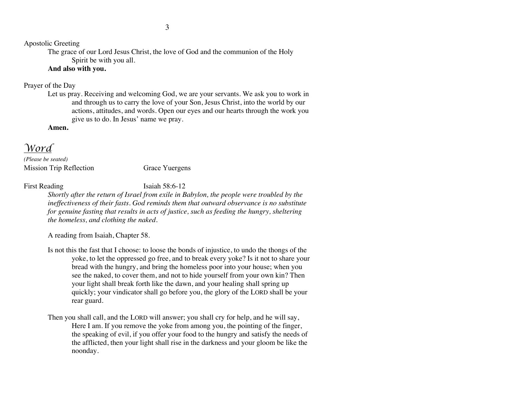Apostolic Greeting

The grace of our Lord Jesus Christ, the love of God and the communion of the Holy Spirit be with you all.

# **And also with you.**

# Prayer of the Day

Let us pray. Receiving and welcoming God, we are your servants. We ask you to work in and through us to carry the love of your Son, Jesus Christ, into the world by our actions, attitudes, and words. Open our eyes and our hearts through the work you give us to do. In Jesus' name we pray.

**Amen.**

# *Word*

*(Please be seated)* Mission Trip Reflection Grace Yuergens

First Reading Isaiah 58:6-12

*Shortly after the return of Israel from exile in Babylon, the people were troubled by the ineffectiveness of their fasts. God reminds them that outward observance is no substitute for genuine fasting that results in acts of justice, such as feeding the hungry, sheltering the homeless, and clothing the naked.*

A reading from Isaiah, Chapter 58.

- Is not this the fast that I choose: to loose the bonds of injustice, to undo the thongs of the yoke, to let the oppressed go free, and to break every yoke? Is it not to share your bread with the hungry, and bring the homeless poor into your house; when you see the naked, to cover them, and not to hide yourself from your own kin? Then your light shall break forth like the dawn, and your healing shall spring up quickly; your vindicator shall go before you, the glory of the LORD shall be your rear guard.
- Then you shall call, and the LORD will answer; you shall cry for help, and he will say, Here I am. If you remove the yoke from among you, the pointing of the finger, the speaking of evil, if you offer your food to the hungry and satisfy the needs of the afflicted, then your light shall rise in the darkness and your gloom be like the noonday.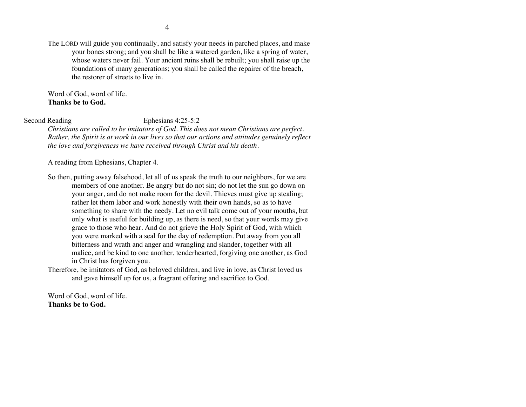The LORD will guide you continually, and satisfy your needs in parched places, and make your bones strong; and you shall be like a watered garden, like a spring of water, whose waters never fail. Your ancient ruins shall be rebuilt; you shall raise up the foundations of many generations; you shall be called the repairer of the breach, the restorer of streets to live in.

Word of God, word of life. **Thanks be to God.**

#### Second Reading Ephesians 4:25-5:2

*Christians are called to be imitators of God. This does not mean Christians are perfect. Rather, the Spirit is at work in our lives so that our actions and attitudes genuinely reflect the love and forgiveness we have received through Christ and his death.*

A reading from Ephesians, Chapter 4.

- So then, putting away falsehood, let all of us speak the truth to our neighbors, for we are members of one another. Be angry but do not sin; do not let the sun go down on your anger, and do not make room for the devil. Thieves must give up stealing; rather let them labor and work honestly with their own hands, so as to have something to share with the needy. Let no evil talk come out of your mouths, but only what is useful for building up, as there is need, so that your words may give grace to those who hear. And do not grieve the Holy Spirit of God, with which you were marked with a seal for the day of redemption. Put away from you all bitterness and wrath and anger and wrangling and slander, together with all malice, and be kind to one another, tenderhearted, forgiving one another, as God in Christ has forgiven you.
- Therefore, be imitators of God, as beloved children, and live in love, as Christ loved us and gave himself up for us, a fragrant offering and sacrifice to God.

Word of God, word of life. **Thanks be to God.**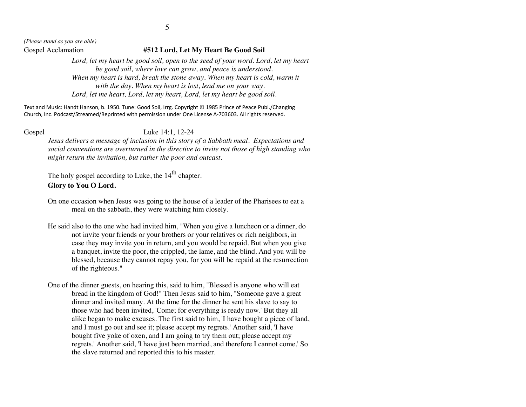*(Please stand as you are able)*

#### Gospel Acclamation **#512 Lord, Let My Heart Be Good Soil**

Lord, let my heart be good soil, open to the seed of your word. Lord, let my heart *be good soil, where love can grow, and peace is understood. When my heart is hard, break the stone away. When my heart is cold, warm it with the day. When my heart is lost, lead me on your way. Lord, let me heart, Lord, let my heart, Lord, let my heart be good soil.*

Text and Music: Handt Hanson, b. 1950. Tune: Good Soil, Irrg. Copyright © 1985 Prince of Peace Publ./Changing Church, Inc. Podcast/Streamed/Reprinted with permission under One License A-703603. All rights reserved.

#### Gospel Luke 14:1, 12-24

*Jesus delivers a message of inclusion in this story of a Sabbath meal. Expectations and social conventions are overturned in the directive to invite not those of high standing who might return the invitation, but rather the poor and outcast.*

The holy gospel according to Luke, the 14<sup>th</sup> chapter.

# **Glory to You O Lord.**

- On one occasion when Jesus was going to the house of a leader of the Pharisees to eat a meal on the sabbath, they were watching him closely.
- He said also to the one who had invited him, "When you give a luncheon or a dinner, do not invite your friends or your brothers or your relatives or rich neighbors, in case they may invite you in return, and you would be repaid. But when you give a banquet, invite the poor, the crippled, the lame, and the blind. And you will be blessed, because they cannot repay you, for you will be repaid at the resurrection of the righteous."
- One of the dinner guests, on hearing this, said to him, "Blessed is anyone who will eat bread in the kingdom of God!" Then Jesus said to him, "Someone gave a great dinner and invited many. At the time for the dinner he sent his slave to say to those who had been invited, 'Come; for everything is ready now.' But they all alike began to make excuses. The first said to him, 'I have bought a piece of land, and I must go out and see it; please accept my regrets.' Another said, 'I have bought five yoke of oxen, and I am going to try them out; please accept my regrets.' Another said, 'I have just been married, and therefore I cannot come.' So the slave returned and reported this to his master.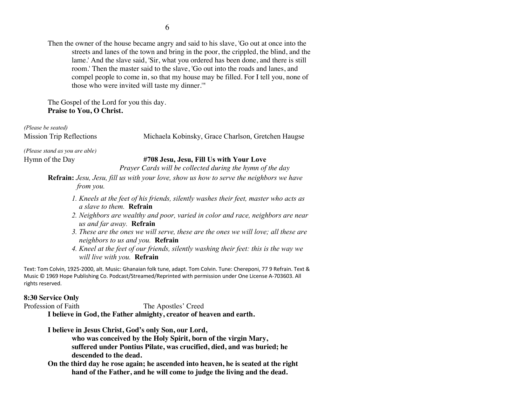Then the owner of the house became angry and said to his slave, 'Go out at once into the streets and lanes of the town and bring in the poor, the crippled, the blind, and the lame.' And the slave said, 'Sir, what you ordered has been done, and there is still room.' Then the master said to the slave, 'Go out into the roads and lanes, and compel people to come in, so that my house may be filled. For I tell you, none of those who were invited will taste my dinner.'"

The Gospel of the Lord for you this day. **Praise to You, O Christ.**

*(Please be seated)*

Mission Trip Reflections Michaela Kobinsky, Grace Charlson, Gretchen Haugse

*(Please stand as you are able)*

# Hymn of the Day **#708 Jesu, Jesu, Fill Us with Your Love**

*Prayer Cards will be collected during the hymn of the day*

**Refrain:** *Jesu, Jesu, fill us with your love, show us how to serve the neighbors we have*  *from you.*

- *1. Kneels at the feet of his friends, silently washes their feet, master who acts as a slave to them.* **Refrain**
- *2. Neighbors are wealthy and poor, varied in color and race, neighbors are near us and far away.* **Refrain**
- *3. These are the ones we will serve, these are the ones we will love; all these are neighbors to us and you.* **Refrain**
- *4. Kneel at the feet of our friends, silently washing their feet: this is the way we will live with you.* **Refrain**

Text: Tom Colvin, 1925-2000, alt. Music: Ghanaian folk tune, adapt. Tom Colvin. Tune: Chereponi, 77 9 Refrain. Text & Music © 1969 Hope Publishing Co. Podcast/Streamed/Reprinted with permission under One License A-703603. All rights reserved.

# **8:30 Service Only**

Profession of Faith The Apostles' Creed

**I believe in God, the Father almighty, creator of heaven and earth.**

**I believe in Jesus Christ, God's only Son, our Lord, who was conceived by the Holy Spirit, born of the virgin Mary, suffered under Pontius Pilate, was crucified, died, and was buried; he descended to the dead.**

**On the third day he rose again; he ascended into heaven, he is seated at the right hand of the Father, and he will come to judge the living and the dead.**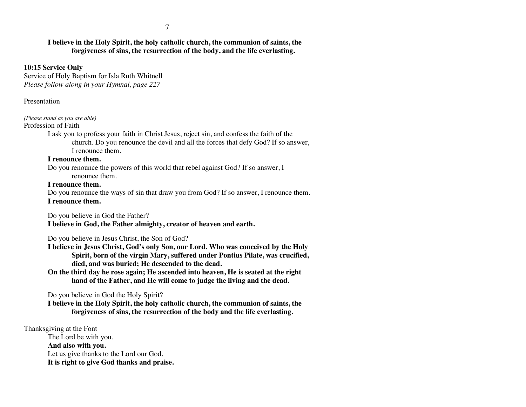# **I believe in the Holy Spirit, the holy catholic church, the communion of saints, the forgiveness of sins, the resurrection of the body, and the life everlasting.**

# **10:15 Service Only**

Service of Holy Baptism for Isla Ruth Whitnell *Please follow along in your Hymnal, page 227*

# Presentation

# *(Please stand as you are able)*

# Profession of Faith

I ask you to profess your faith in Christ Jesus, reject sin, and confess the faith of the church. Do you renounce the devil and all the forces that defy God? If so answer, I renounce them.

# **I renounce them.**

Do you renounce the powers of this world that rebel against God? If so answer, I renounce them.

# **I renounce them.**

Do you renounce the ways of sin that draw you from God? If so answer, I renounce them. **I renounce them.**

Do you believe in God the Father? **I believe in God, the Father almighty, creator of heaven and earth.**

Do you believe in Jesus Christ, the Son of God?

**I believe in Jesus Christ, God's only Son, our Lord. Who was conceived by the Holy Spirit, born of the virgin Mary, suffered under Pontius Pilate, was crucified, died, and was buried; He descended to the dead.**

**On the third day he rose again; He ascended into heaven, He is seated at the right hand of the Father, and He will come to judge the living and the dead.**

Do you believe in God the Holy Spirit?

**I believe in the Holy Spirit, the holy catholic church, the communion of saints, the forgiveness of sins, the resurrection of the body and the life everlasting.**

# Thanksgiving at the Font

The Lord be with you. **And also with you.** Let us give thanks to the Lord our God. **It is right to give God thanks and praise.**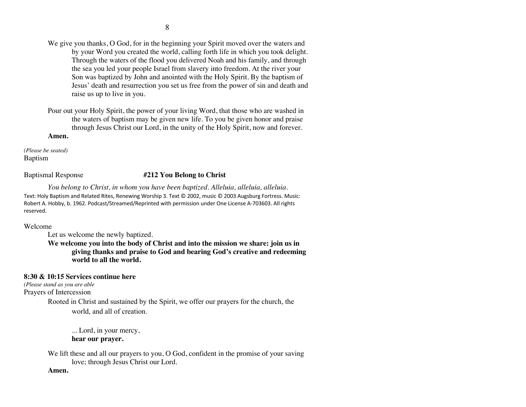We give you thanks, O God, for in the beginning your Spirit moved over the waters and by your Word you created the world, calling forth life in which you took delight. Through the waters of the flood you delivered Noah and his family, and through the sea you led your people Israel from slavery into freedom. At the river your Son was baptized by John and anointed with the Holy Spirit. By the baptism of Jesus' death and resurrection you set us free from the power of sin and death and raise us up to live in you.

Pour out your Holy Spirit, the power of your living Word, that those who are washed in the waters of baptism may be given new life. To you be given honor and praise through Jesus Christ our Lord, in the unity of the Holy Spirit, now and forever. **Amen.**

*(Please be seated)* Baptism

# Baptismal Response **#212 You Belong to Christ**

*You belong to Christ, in whom you have been baptized. Alleluia, alleluia, alleluia.* Text: Holy Baptism and Related Rites, Renewing Worship 3. Text © 2002, music © 2003 Augsburg Fortress. Music: Robert A. Hobby, b. 1962. Podcast/Streamed/Reprinted with permission under One License A-703603. All rights reserved.

#### Welcome

Let us welcome the newly baptized.

**We welcome you into the body of Christ and into the mission we share: join us in giving thanks and praise to God and bearing God's creative and redeeming world to all the world.**

# **8:30 & 10:15 Services continue here**

*(Please stand as you are able* Prayers of Intercession

> Rooted in Christ and sustained by the Spirit, we offer our prayers for the church, the world, and all of creation.

... Lord, in your mercy, **hear our prayer.**

We lift these and all our prayers to you, O God, confident in the promise of your saving love; through Jesus Christ our Lord.

#### **Amen.**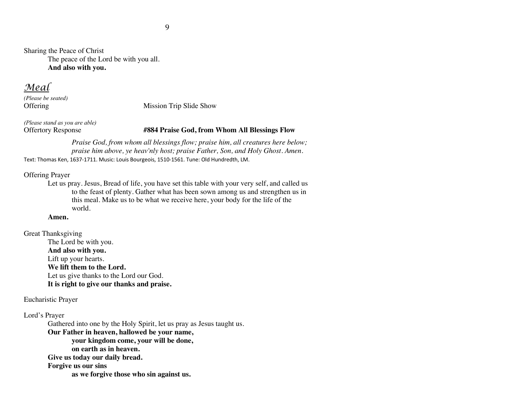Sharing the Peace of Christ The peace of the Lord be with you all. **And also with you.**

*Meal*

*(Please be seated)*

Offering Mission Trip Slide Show

*(Please stand as you are able)*

#### Offertory Response **#884 Praise God, from Whom All Blessings Flow**

*Praise God, from whom all blessings flow; praise him, all creatures here below; praise him above, ye heav'nly host; praise Father, Son, and Holy Ghost. Amen.* Text: Thomas Ken, 1637-1711. Music: Louis Bourgeois, 1510-1561. Tune: Old Hundredth, LM.

#### Offering Prayer

Let us pray. Jesus, Bread of life, you have set this table with your very self, and called us to the feast of plenty. Gather what has been sown among us and strengthen us in this meal. Make us to be what we receive here, your body for the life of the world.

#### **Amen.**

Great Thanksgiving The Lord be with you. **And also with you.** Lift up your hearts. **We lift them to the Lord.** Let us give thanks to the Lord our God. **It is right to give our thanks and praise.**

#### Eucharistic Prayer

Lord's Prayer

Gathered into one by the Holy Spirit, let us pray as Jesus taught us.

**Our Father in heaven, hallowed be your name, your kingdom come, your will be done, on earth as in heaven.**

**Give us today our daily bread.** 

**Forgive us our sins** 

**as we forgive those who sin against us.**